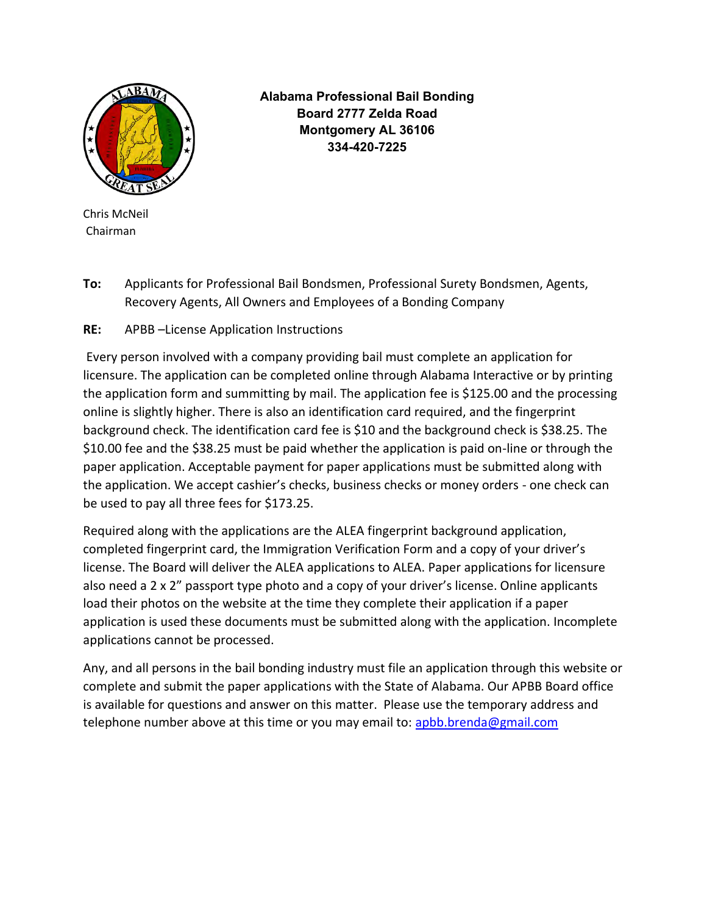

**Alabama Professional Bail Bonding Board 2777 Zelda Road Montgomery AL 36106 334-420-7225**

Chris McNeil Chairman

**To:** Applicants for Professional Bail Bondsmen, Professional Surety Bondsmen, Agents, Recovery Agents, All Owners and Employees of a Bonding Company

**RE:** APBB –License Application Instructions

Every person involved with a company providing bail must complete an application for licensure. The application can be completed online through Alabama Interactive or by printing the application form and summitting by mail. The application fee is \$125.00 and the processing online is slightly higher. There is also an identification card required, and the fingerprint background check. The identification card fee is \$10 and the background check is \$38.25. The \$10.00 fee and the \$38.25 must be paid whether the application is paid on-line or through the paper application. Acceptable payment for paper applications must be submitted along with the application. We accept cashier's checks, business checks or money orders - one check can be used to pay all three fees for \$173.25.

Required along with the applications are the ALEA fingerprint background application, completed fingerprint card, the Immigration Verification Form and a copy of your driver's license. The Board will deliver the ALEA applications to ALEA. Paper applications for licensure also need a 2 x 2" passport type photo and a copy of your driver's license. Online applicants load their photos on the website at the time they complete their application if a paper application is used these documents must be submitted along with the application. Incomplete applications cannot be processed.

Any, and all persons in the bail bonding industry must file an application through this website or complete and submit the paper applications with the State of Alabama. Our APBB Board office is available for questions and answer on this matter. Please use the temporary address and telephone number above at this time or you may email to: [apbb.brenda@gmail.com](mailto:apbb.brenda@gmail.com)